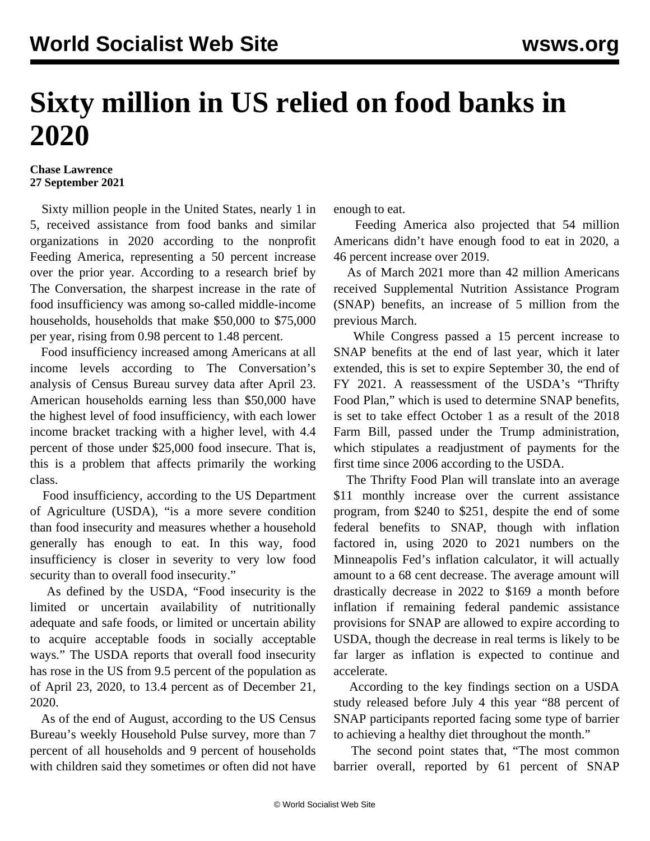## **Sixty million in US relied on food banks in 2020**

## **Chase Lawrence 27 September 2021**

 Sixty million people in the United States, nearly 1 in 5, received assistance from food banks and similar organizations in 2020 according to the nonprofit Feeding America, representing a 50 percent increase over the prior year. According to a research brief by The Conversation, the sharpest increase in the rate of food insufficiency was among so-called middle-income households, households that make \$50,000 to \$75,000 per year, rising from 0.98 percent to 1.48 percent.

 Food insufficiency increased among Americans at all income levels according to The Conversation's analysis of Census Bureau survey data after April 23. American households earning less than \$50,000 have the highest level of food insufficiency, with each lower income bracket tracking with a higher level, with 4.4 percent of those under \$25,000 food insecure. That is, this is a problem that affects primarily the working class.

 Food insufficiency, according to the US Department of Agriculture (USDA), "is a more severe condition than food insecurity and measures whether a household generally has enough to eat. In this way, food insufficiency is closer in severity to very low food security than to overall food insecurity."

 As defined by the USDA, "Food insecurity is the limited or uncertain availability of nutritionally adequate and safe foods, or limited or uncertain ability to acquire acceptable foods in socially acceptable ways." The USDA reports that overall food insecurity has rose in the US from 9.5 percent of the population as of April 23, 2020, to 13.4 percent as of December 21, 2020.

 As of the end of August, according to the US Census Bureau's weekly Household Pulse survey, more than 7 percent of all households and 9 percent of households with children said they sometimes or often did not have enough to eat.

 Feeding America also projected that 54 million Americans didn't have enough food to eat in 2020, a 46 percent increase over 2019.

 As of March 2021 more than 42 million Americans received Supplemental Nutrition Assistance Program (SNAP) benefits, an increase of 5 million from the previous March.

 While Congress passed a 15 percent increase to SNAP benefits at the end of last year, which it later extended, this is set to expire September 30, the end of FY 2021. A reassessment of the USDA's "Thrifty Food Plan," which is used to determine SNAP benefits, is set to take effect October 1 as a result of the 2018 Farm Bill, passed under the Trump administration, which stipulates a readjustment of payments for the first time since 2006 according to the USDA.

 The Thrifty Food Plan will translate into an average \$11 monthly increase over the current assistance program, from \$240 to \$251, despite the end of some federal benefits to SNAP, though with inflation factored in, using 2020 to 2021 numbers on the Minneapolis Fed's inflation calculator, it will actually amount to a 68 cent decrease. The average amount will drastically decrease in 2022 to \$169 a month before inflation if remaining federal pandemic assistance provisions for SNAP are allowed to expire according to USDA, though the decrease in real terms is likely to be far larger as inflation is expected to continue and accelerate.

 According to the key findings section on a USDA study released before July 4 this year "88 percent of SNAP participants reported facing some type of barrier to achieving a healthy diet throughout the month."

 The second point states that, "The most common barrier overall, reported by 61 percent of SNAP